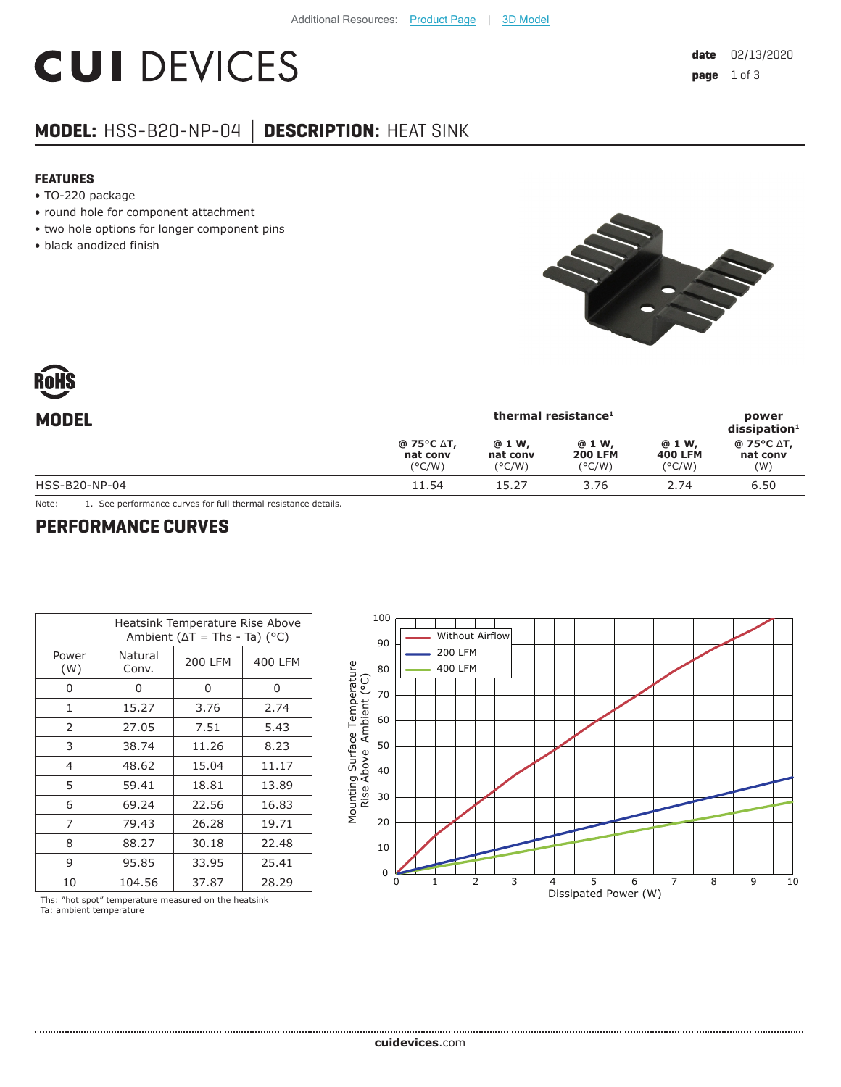# **CUI DEVICES**

## **MODEL:** HSS-B20-NP-04 **│ DESCRIPTION:** HEAT SINK

#### **FEATURES**

- TO-220 package
- round hole for component attachment
- two hole options for longer component pins
- black anodized finish



| <b>MODEL</b>  |                                           | power<br>$dis$ sipation <sup>1</sup>  |                                             |                                    |                               |
|---------------|-------------------------------------------|---------------------------------------|---------------------------------------------|------------------------------------|-------------------------------|
|               | @ 75°C ∆T,<br>nat conv<br>$(^{\circ}C/W)$ | @ 1 W,<br>nat conv<br>$(^{\circ}C/W)$ | @ 1 W,<br><b>200 LFM</b><br>$(^{\circ}C/W)$ | @ 1 W,<br><b>400 LFM</b><br>(°C/W) | @ 75°C ∆T,<br>nat conv<br>(W) |
| HSS-B20-NP-04 | 11.54                                     | 15.27                                 | 3.76                                        | 2.74                               | 6.50                          |

Note: 1. See performance curves for full thermal resistance details.

#### **PERFORMANCE CURVES**

|              | Heatsink Temperature Rise Above<br>Ambient ( $\Delta T$ = Ths - Ta) ( $^{\circ}$ C) |                |         |  |
|--------------|-------------------------------------------------------------------------------------|----------------|---------|--|
| Power<br>(W) | Natural<br>Conv.                                                                    | <b>200 LFM</b> | 400 LFM |  |
| O            | U                                                                                   | 0              | 0       |  |
| 1            | 15.27                                                                               | 3.76           | 2.74    |  |
| 2            | 27.05                                                                               | 7.51           | 5.43    |  |
| 3            | 38.74                                                                               | 11.26          | 8.23    |  |
| 4            | 48.62                                                                               | 15.04          | 11.17   |  |
| 5            | 59.41                                                                               | 18.81          | 13.89   |  |
| 6            | 69.24                                                                               | 22.56          | 16.83   |  |
| 7            | 79.43                                                                               | 26.28          | 19.71   |  |
| 8            | 88.27                                                                               | 30.18          | 22.48   |  |
| 9            | 95.85                                                                               | 33.95          | 25.41   |  |
| 10           | 104.56                                                                              | 37.87          | 28.29   |  |



Ths: "hot spot" temperature measured on the heatsink Ta: ambient temperature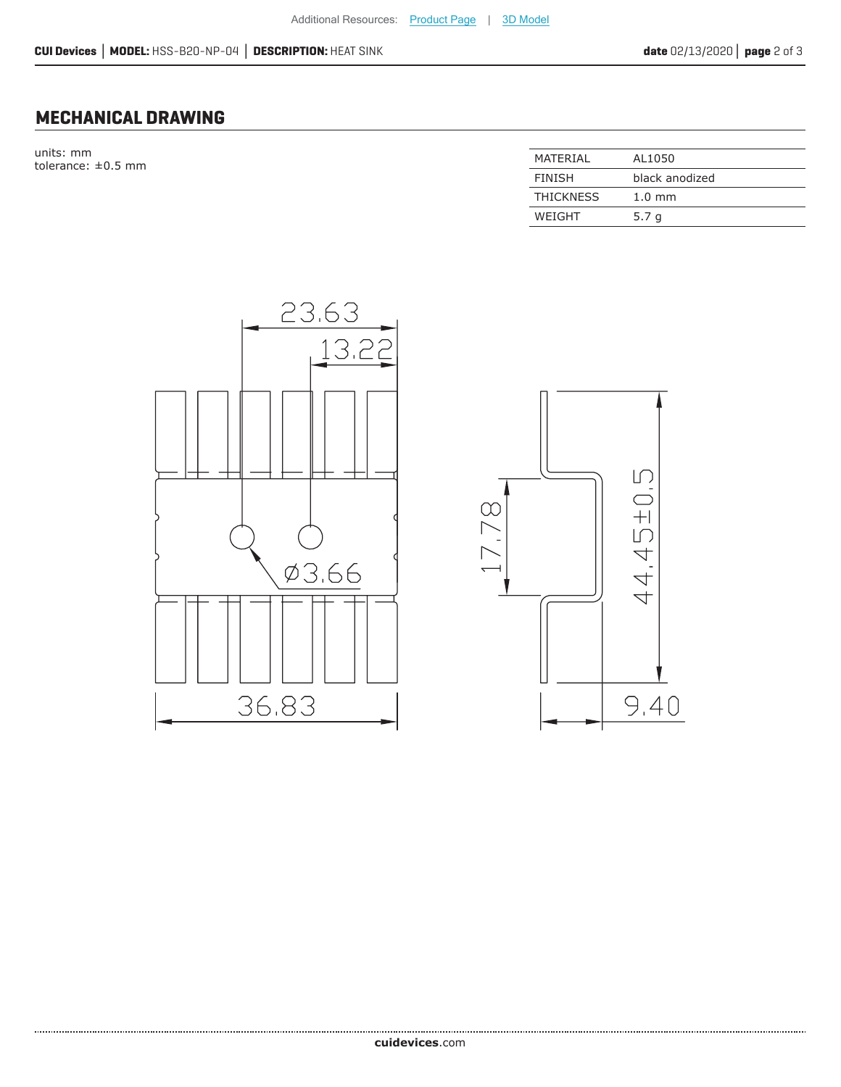### **MECHANICAL DRAWING**

units: mm tolerance:  $\pm 0.5$  mm

| MATFRIAI         | AL1050           |
|------------------|------------------|
| <b>FINISH</b>    | black anodized   |
| <b>THICKNESS</b> | $1.0 \text{ mm}$ |
| WEIGHT           | 5.7 <sub>q</sub> |